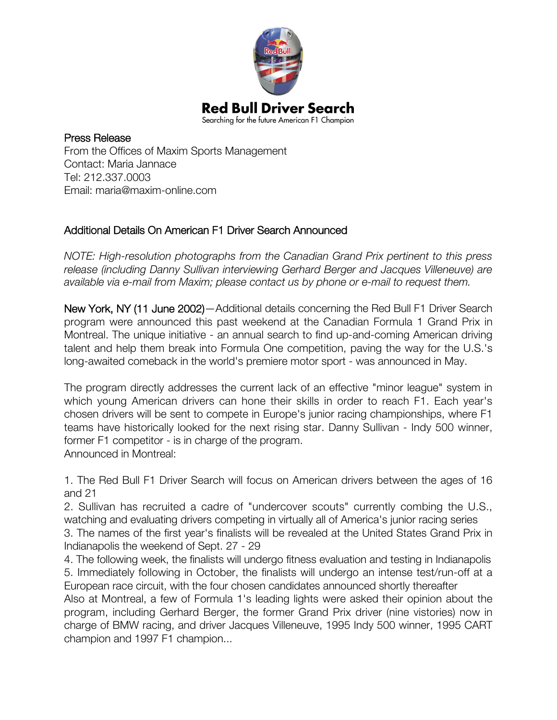

Press Release From the Offices of Maxim Sports Management Contact: Maria Jannace Tel: 212.337.0003 Email: maria@maxim-online.com

# Additional Details On American F1 Driver Search Announced

*NOTE: High-resolution photographs from the Canadian Grand Prix pertinent to this press release (including Danny Sullivan interviewing Gerhard Berger and Jacques Villeneuve) are available via e-mail from Maxim; please contact us by phone or e-mail to request them.*

New York, NY (11 June 2002)—Additional details concerning the Red Bull F1 Driver Search program were announced this past weekend at the Canadian Formula 1 Grand Prix in Montreal. The unique initiative - an annual search to find up-and-coming American driving talent and help them break into Formula One competition, paving the way for the U.S.'s long-awaited comeback in the world's premiere motor sport - was announced in May.

The program directly addresses the current lack of an effective "minor league" system in which young American drivers can hone their skills in order to reach F1. Each year's chosen drivers will be sent to compete in Europe's junior racing championships, where F1 teams have historically looked for the next rising star. Danny Sullivan - Indy 500 winner, former F1 competitor - is in charge of the program. Announced in Montreal:

1. The Red Bull F1 Driver Search will focus on American drivers between the ages of 16 and 21

2. Sullivan has recruited a cadre of "undercover scouts" currently combing the U.S., watching and evaluating drivers competing in virtually all of America's junior racing series 3. The names of the first year's finalists will be revealed at the United States Grand Prix in

Indianapolis the weekend of Sept. 27 - 29 4. The following week, the finalists will undergo fitness evaluation and testing in Indianapolis 5. Immediately following in October, the finalists will undergo an intense test/run-off at a

European race circuit, with the four chosen candidates announced shortly thereafter Also at Montreal, a few of Formula 1's leading lights were asked their opinion about the program, including Gerhard Berger, the former Grand Prix driver (nine vistories) now in charge of BMW racing, and driver Jacques Villeneuve, 1995 Indy 500 winner, 1995 CART champion and 1997 F1 champion...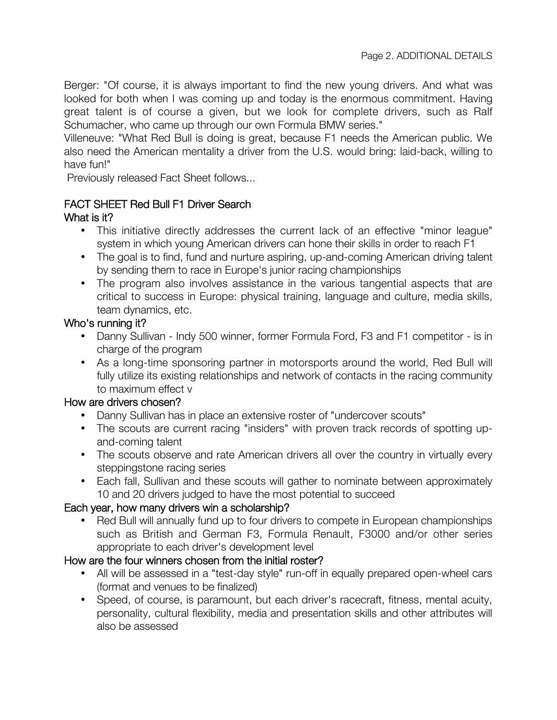Berger: "Of course, it is always important to find the new young drivers. And what was looked for both when I was coming up and today is the enormous commitment. Having great talent is of course a given, but we look for complete drivers, such as Ralf Schumacher, who came up through our own Formula BMW series."

Villeneuve: "What Red Bull is doing is great, because F1 needs the American public. We also need the American mentality a driver from the U.S. would bring: laid-back, willing to have fun!"

Previously released Fact Sheet follows...

## FACT SHEET Red Bull F1 Driver Search

## What is it?

- This initiative directly addresses the current lack of an effective "minor league" system in which young American drivers can hone their skills in order to reach F1
- The goal is to find, fund and nurture aspiring, up-and-coming American driving talent by sending them to race in Europe's junior racing championships
- The program also involves assistance in the various tangential aspects that are critical to success in Europe: physical training, language and culture, media skills, team dynamics, etc.

## Who's running it?

- Danny Sullivan Indy 500 winner, former Formula Ford, F3 and F1 competitor is in charge of the program
- As a long-time sponsoring partner in motorsports around the world, Red Bull will fully utilize its existing relationships and network of contacts in the racing community to maximum effect v

### How are drivers chosen?

- Danny Sullivan has in place an extensive roster of "undercover scouts"
- The scouts are current racing "insiders" with proven track records of spotting upand-coming talent
- The scouts observe and rate American drivers all over the country in virtually every steppingstone racing series
- Each fall, Sullivan and these scouts will gather to nominate between approximately 10 and 20 drivers judged to have the most potential to succeed

# Each year, how many drivers win a scholarship?

• Red Bull will annually fund up to four drivers to compete in European championships such as British and German F3, Formula Renault, F3000 and/or other series appropriate to each driver's development level

### How are the four winners chosen from the initial roster?

- All will be assessed in a "test-day style" run-off in equally prepared open-wheel cars (format and venues to be finalized)
- Speed, of course, is paramount, but each driver's racecraft, fitness, mental acuity, personality, cultural flexibility, media and presentation skills and other attributes will also be assessed